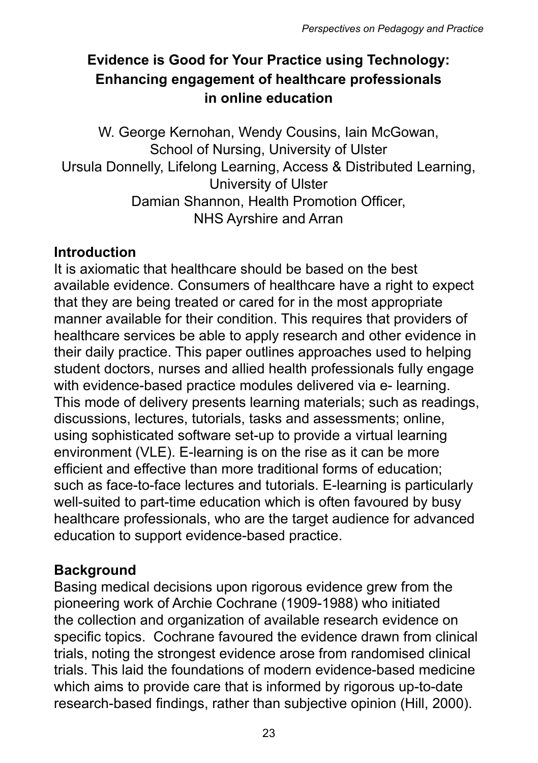# **Evidence is Good for Your Practice using Technology: Enhancing engagement of healthcare professionals in online education**

W. George Kernohan, Wendy Cousins, Iain McGowan, School of Nursing, University of Ulster Ursula Donnelly, Lifelong Learning, Access & Distributed Learning, University of Ulster Damian Shannon, Health Promotion Officer, NHS Ayrshire and Arran

## **Introduction**

It is axiomatic that healthcare should be based on the best available evidence. Consumers of healthcare have a right to expect that they are being treated or cared for in the most appropriate manner available for their condition. This requires that providers of healthcare services be able to apply research and other evidence in their daily practice. This paper outlines approaches used to helping student doctors, nurses and allied health professionals fully engage with evidence-based practice modules delivered via e- learning. This mode of delivery presents learning materials; such as readings, discussions, lectures, tutorials, tasks and assessments; online, using sophisticated software set-up to provide a virtual learning environment (VLE). E-learning is on the rise as it can be more efficient and effective than more traditional forms of education; such as face-to-face lectures and tutorials. E-learning is particularly well-suited to part-time education which is often favoured by busy healthcare professionals, who are the target audience for advanced education to support evidence-based practice.

# **Background**

Basing medical decisions upon rigorous evidence grew from the pioneering work of Archie Cochrane (1909-1988) who initiated the collection and organization of available research evidence on specific topics. Cochrane favoured the evidence drawn from clinical trials, noting the strongest evidence arose from randomised clinical trials. This laid the foundations of modern evidence-based medicine which aims to provide care that is informed by rigorous up-to-date research-based findings, rather than subjective opinion (Hill, 2000).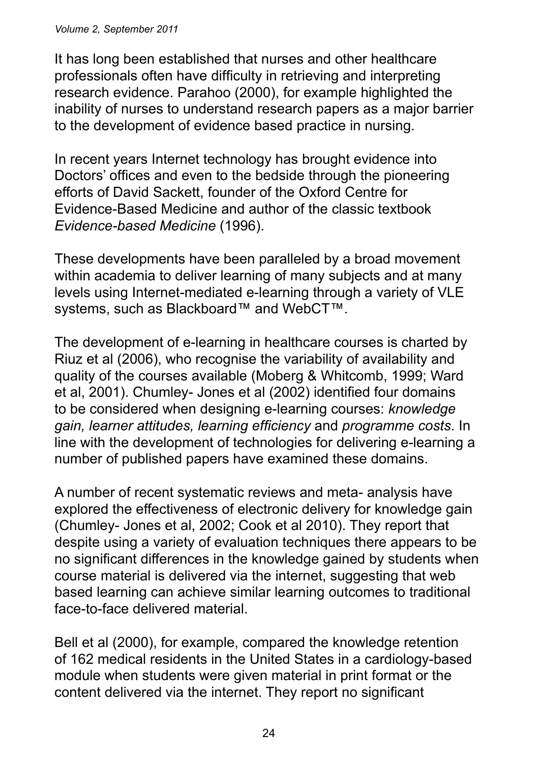It has long been established that nurses and other healthcare professionals often have difficulty in retrieving and interpreting research evidence. Parahoo (2000), for example highlighted the inability of nurses to understand research papers as a major barrier to the development of evidence based practice in nursing.

In recent years Internet technology has brought evidence into Doctors' offices and even to the bedside through the pioneering efforts of David Sackett, founder of the Oxford Centre for Evidence-Based Medicine and author of the classic textbook *Evidence-based Medicine* (1996).

These developments have been paralleled by a broad movement within academia to deliver learning of many subjects and at many levels using Internet-mediated e-learning through a variety of VLE systems, such as Blackboard™ and WebCT™.

The development of e-learning in healthcare courses is charted by Riuz et al (2006), who recognise the variability of availability and quality of the courses available (Moberg & Whitcomb, 1999; Ward et al, 2001). Chumley- Jones et al (2002) identified four domains to be considered when designing e-learning courses: *knowledge gain, learner attitudes, learning efficiency* and *programme costs*. In line with the development of technologies for delivering e-learning a number of published papers have examined these domains.

A number of recent systematic reviews and meta- analysis have explored the effectiveness of electronic delivery for knowledge gain (Chumley- Jones et al, 2002; Cook et al 2010). They report that despite using a variety of evaluation techniques there appears to be no significant differences in the knowledge gained by students when course material is delivered via the internet, suggesting that web based learning can achieve similar learning outcomes to traditional face-to-face delivered material.

Bell et al (2000), for example, compared the knowledge retention of 162 medical residents in the United States in a cardiology-based module when students were given material in print format or the content delivered via the internet. They report no significant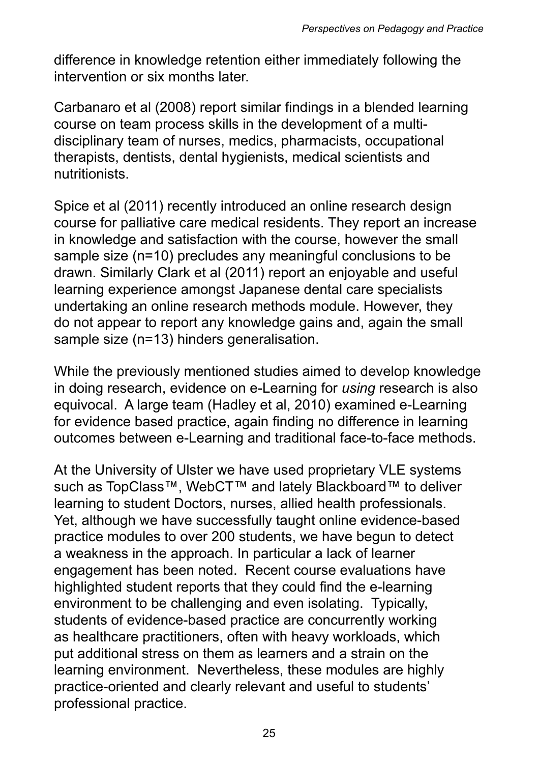difference in knowledge retention either immediately following the intervention or six months later.

Carbanaro et al (2008) report similar findings in a blended learning course on team process skills in the development of a multidisciplinary team of nurses, medics, pharmacists, occupational therapists, dentists, dental hygienists, medical scientists and nutritionists.

Spice et al (2011) recently introduced an online research design course for palliative care medical residents. They report an increase in knowledge and satisfaction with the course, however the small sample size (n=10) precludes any meaningful conclusions to be drawn. Similarly Clark et al (2011) report an enjoyable and useful learning experience amongst Japanese dental care specialists undertaking an online research methods module. However, they do not appear to report any knowledge gains and, again the small sample size (n=13) hinders generalisation.

While the previously mentioned studies aimed to develop knowledge in doing research, evidence on e-Learning for *using* research is also equivocal. A large team (Hadley et al, 2010) examined e-Learning for evidence based practice, again finding no difference in learning outcomes between e-Learning and traditional face-to-face methods.

At the University of Ulster we have used proprietary VLE systems such as TopClass™, WebCT™ and lately Blackboard™ to deliver learning to student Doctors, nurses, allied health professionals. Yet, although we have successfully taught online evidence-based practice modules to over 200 students, we have begun to detect a weakness in the approach. In particular a lack of learner engagement has been noted. Recent course evaluations have highlighted student reports that they could find the e-learning environment to be challenging and even isolating. Typically, students of evidence-based practice are concurrently working as healthcare practitioners, often with heavy workloads, which put additional stress on them as learners and a strain on the learning environment. Nevertheless, these modules are highly practice-oriented and clearly relevant and useful to students' professional practice.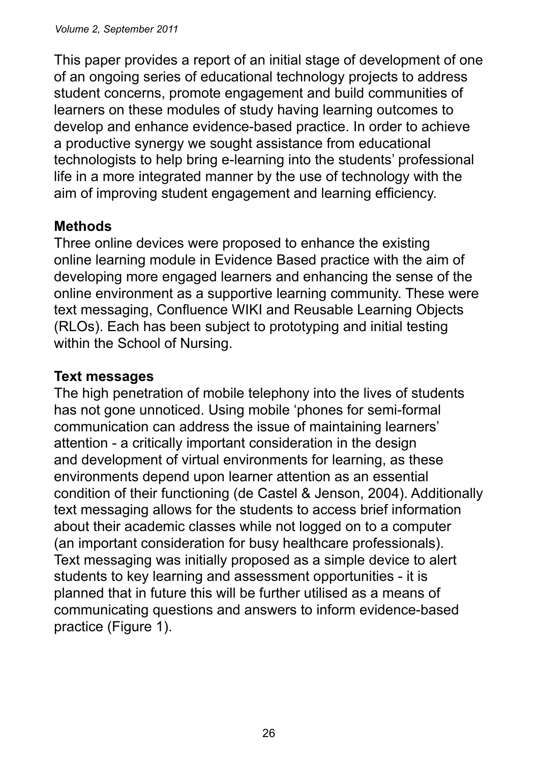This paper provides a report of an initial stage of development of one of an ongoing series of educational technology projects to address student concerns, promote engagement and build communities of learners on these modules of study having learning outcomes to develop and enhance evidence-based practice. In order to achieve a productive synergy we sought assistance from educational technologists to help bring e-learning into the students' professional life in a more integrated manner by the use of technology with the aim of improving student engagement and learning efficiency.

## **Methods**

Three online devices were proposed to enhance the existing online learning module in Evidence Based practice with the aim of developing more engaged learners and enhancing the sense of the online environment as a supportive learning community. These were text messaging, Confluence WIKI and Reusable Learning Objects (RLOs). Each has been subject to prototyping and initial testing within the School of Nursing.

# **Text messages**

The high penetration of mobile telephony into the lives of students has not gone unnoticed. Using mobile 'phones for semi-formal communication can address the issue of maintaining learners' attention - a critically important consideration in the design and development of virtual environments for learning, as these environments depend upon learner attention as an essential condition of their functioning (de Castel & Jenson, 2004). Additionally text messaging allows for the students to access brief information about their academic classes while not logged on to a computer (an important consideration for busy healthcare professionals). Text messaging was initially proposed as a simple device to alert students to key learning and assessment opportunities - it is planned that in future this will be further utilised as a means of communicating questions and answers to inform evidence-based practice (Figure 1).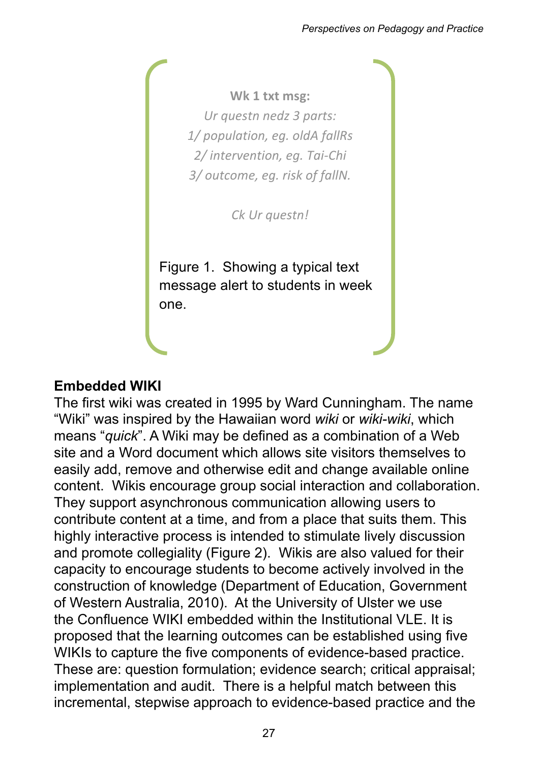Wk 1 txt msg: *Ur
questn
nedz
3
parts: 1/
population,
eg.
oldA
fallRs 2/
intervention,
eg.
Tai‐Chi 3/
outcome,
eg.
risk
of
fallN.* 

*Ck
Ur
questn!* 

Figure 1. Showing a typical text message alert to students in week one.

#### **Embedded WIKI**

The first wiki was created in 1995 by Ward Cunningham. The name "Wiki" was inspired by the Hawaiian word *wiki* or *wiki-wiki*, which means "*quick*". A Wiki may be defined as a combination of a Web site and a Word document which allows site visitors themselves to easily add, remove and otherwise edit and change available online content. Wikis encourage group social interaction and collaboration. They support asynchronous communication allowing users to contribute content at a time, and from a place that suits them. This highly interactive process is intended to stimulate lively discussion and promote collegiality (Figure 2). Wikis are also valued for their capacity to encourage students to become actively involved in the construction of knowledge (Department of Education, Government of Western Australia, 2010). At the University of Ulster we use the Confluence WIKI embedded within the Institutional VLE. It is proposed that the learning outcomes can be established using five WIKIs to capture the five components of evidence-based practice. These are: question formulation; evidence search; critical appraisal; implementation and audit. There is a helpful match between this incremental, stepwise approach to evidence-based practice and the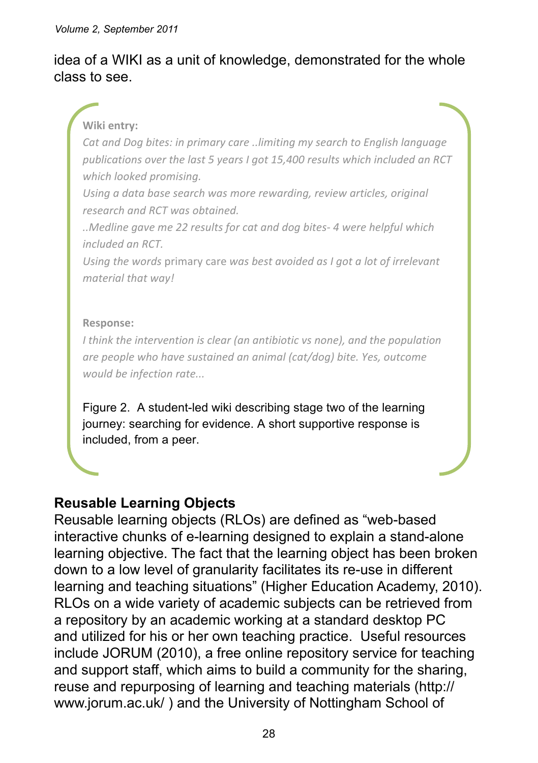## idea of a WIKI as a unit of knowledge, demonstrated for the whole class to see.

#### **Wiki
entry:**

*Cat
and
Dog
bites:
in
primary
care
..limiting
my
search
to
English
language*  publications over the last 5 years I got 15,400 results which included an RCT *which
looked
promising.*

*Using
a
data
base
search
was
more
rewarding,
review
articles,
original research
and
RCT
was
obtained.*

*..Medline
gave
me
22
results
for
cat
and
dog
bites‐
4
were
helpful
which included
an
RCT.*

Using the words primary care was best avoided as I got a lot of irrelevant *material
that
way!* 

#### **Response:**

I think the intervention is clear (an antibiotic vs none), and the population *are
people
who
have
sustained
an
animal
(cat/dog)
bite.
Yes,
outcome would
be
infection
rate...* 

Figure 2. A student-led wiki describing stage two of the learning journey: searching for evidence. A short supportive response is included, from a peer.

#### **Reusable Learning Objects**

Reusable learning objects (RLOs) are defined as "web-based interactive chunks of e-learning designed to explain a stand-alone learning objective. The fact that the learning object has been broken down to a low level of granularity facilitates its re-use in different learning and teaching situations" (Higher Education Academy, 2010). RLOs on a wide variety of academic subjects can be retrieved from a repository by an academic working at a standard desktop PC and utilized for his or her own teaching practice. Useful resources include JORUM (2010), a free online repository service for teaching and support staff, which aims to build a community for the sharing, reuse and repurposing of learning and teaching materials (http:// www.jorum.ac.uk/ ) and the University of Nottingham School of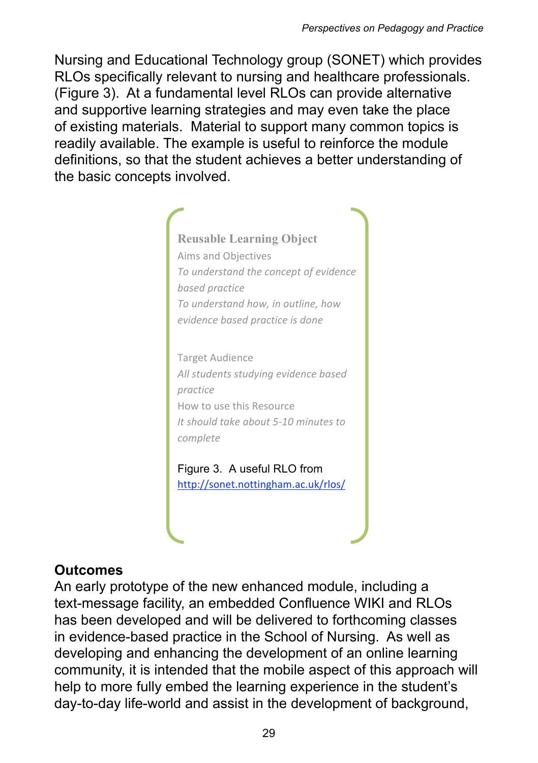Nursing and Educational Technology group (SONET) which provides RLOs specifically relevant to nursing and healthcare professionals. (Figure 3). At a fundamental level RLOs can provide alternative and supportive learning strategies and may even take the place of existing materials. Material to support many common topics is readily available. The example is useful to reinforce the module definitions, so that the student achieves a better understanding of the basic concepts involved.

> **Reusable Learning Object** Aims
> and
> Objectives *To
> understand
> the
> concept
> of
> evidence based
> practice To
> understand
> how,
> in
> outline,
> how evidence
> based
> practice
> is
> done*

Target
Audience *All
students
studying
evidence
based practice* How
to
use
this
Resource *It
should
take
about
5‐10
minutes
to complete*

Figure 3. A useful RLO from http://sonet.nottingham.ac.uk/rlos/

## **Outcomes**

An early prototype of the new enhanced module, including a text-message facility, an embedded Confluence WIKI and RLOs has been developed and will be delivered to forthcoming classes in evidence-based practice in the School of Nursing. As well as developing and enhancing the development of an online learning community, it is intended that the mobile aspect of this approach will help to more fully embed the learning experience in the student's day-to-day life-world and assist in the development of background,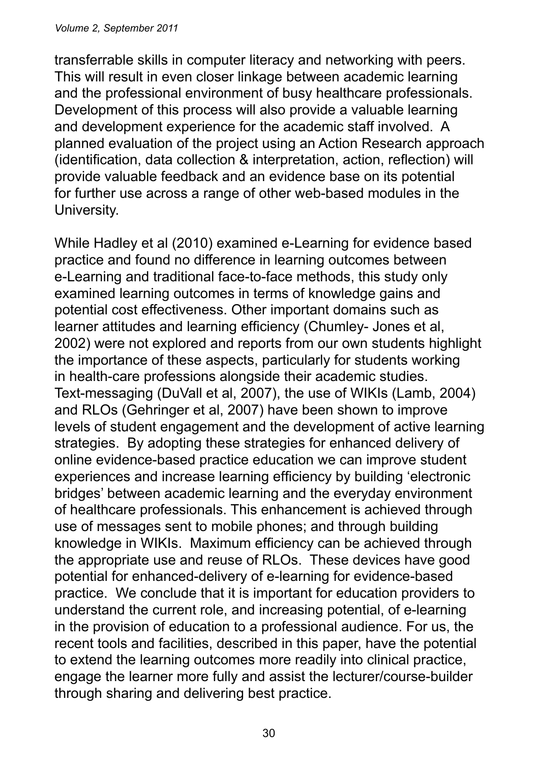transferrable skills in computer literacy and networking with peers. This will result in even closer linkage between academic learning and the professional environment of busy healthcare professionals. Development of this process will also provide a valuable learning and development experience for the academic staff involved. A planned evaluation of the project using an Action Research approach (identification, data collection & interpretation, action, reflection) will provide valuable feedback and an evidence base on its potential for further use across a range of other web-based modules in the University.

While Hadley et al (2010) examined e-Learning for evidence based practice and found no difference in learning outcomes between e-Learning and traditional face-to-face methods, this study only examined learning outcomes in terms of knowledge gains and potential cost effectiveness. Other important domains such as learner attitudes and learning efficiency (Chumley- Jones et al, 2002) were not explored and reports from our own students highlight the importance of these aspects, particularly for students working in health-care professions alongside their academic studies. Text-messaging (DuVall et al, 2007), the use of WIKIs (Lamb, 2004) and RLOs (Gehringer et al, 2007) have been shown to improve levels of student engagement and the development of active learning strategies. By adopting these strategies for enhanced delivery of online evidence-based practice education we can improve student experiences and increase learning efficiency by building 'electronic bridges' between academic learning and the everyday environment of healthcare professionals. This enhancement is achieved through use of messages sent to mobile phones; and through building knowledge in WIKIs. Maximum efficiency can be achieved through the appropriate use and reuse of RLOs. These devices have good potential for enhanced-delivery of e-learning for evidence-based practice. We conclude that it is important for education providers to understand the current role, and increasing potential, of e-learning in the provision of education to a professional audience. For us, the recent tools and facilities, described in this paper, have the potential to extend the learning outcomes more readily into clinical practice, engage the learner more fully and assist the lecturer/course-builder through sharing and delivering best practice.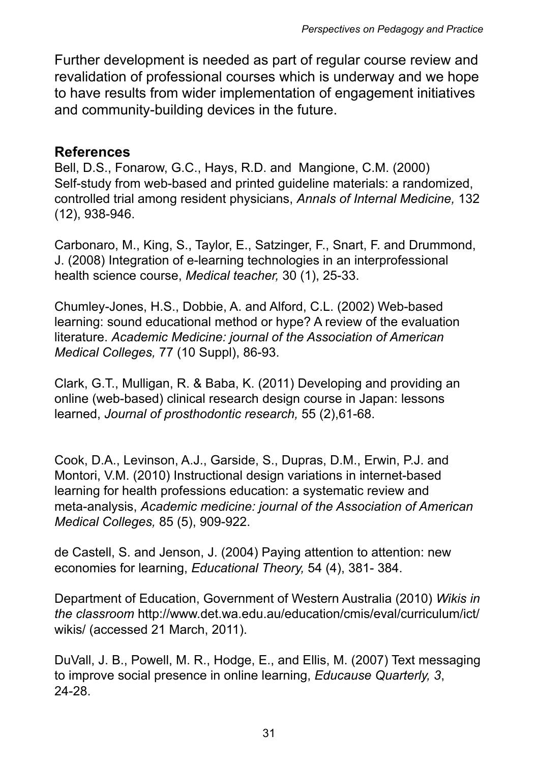Further development is needed as part of regular course review and revalidation of professional courses which is underway and we hope to have results from wider implementation of engagement initiatives and community-building devices in the future.

#### **References**

Bell, D.S., Fonarow, G.C., Hays, R.D. and Mangione, C.M. (2000) Self-study from web-based and printed guideline materials: a randomized, controlled trial among resident physicians, *Annals of Internal Medicine,* 132 (12), 938-946.

Carbonaro, M., King, S., Taylor, E., Satzinger, F., Snart, F. and Drummond, J. (2008) Integration of e-learning technologies in an interprofessional health science course, *Medical teacher,* 30 (1), 25-33.

Chumley-Jones, H.S., Dobbie, A. and Alford, C.L. (2002) Web-based learning: sound educational method or hype? A review of the evaluation literature. *Academic Medicine: journal of the Association of American Medical Colleges,* 77 (10 Suppl), 86-93.

Clark, G.T., Mulligan, R. & Baba, K. (2011) Developing and providing an online (web-based) clinical research design course in Japan: lessons learned, *Journal of prosthodontic research,* 55 (2),61-68.

Cook, D.A., Levinson, A.J., Garside, S., Dupras, D.M., Erwin, P.J. and Montori, V.M. (2010) Instructional design variations in internet-based learning for health professions education: a systematic review and meta-analysis, *Academic medicine: journal of the Association of American Medical Colleges,* 85 (5), 909-922.

de Castell, S. and Jenson, J. (2004) Paying attention to attention: new economies for learning, *Educational Theory,* 54 (4), 381- 384.

Department of Education, Government of Western Australia (2010) *Wikis in the classroom* http://www.det.wa.edu.au/education/cmis/eval/curriculum/ict/ wikis/ (accessed 21 March, 2011).

DuVall, J. B., Powell, M. R., Hodge, E., and Ellis, M. (2007) Text messaging to improve social presence in online learning, *Educause Quarterly, 3*, 24-28.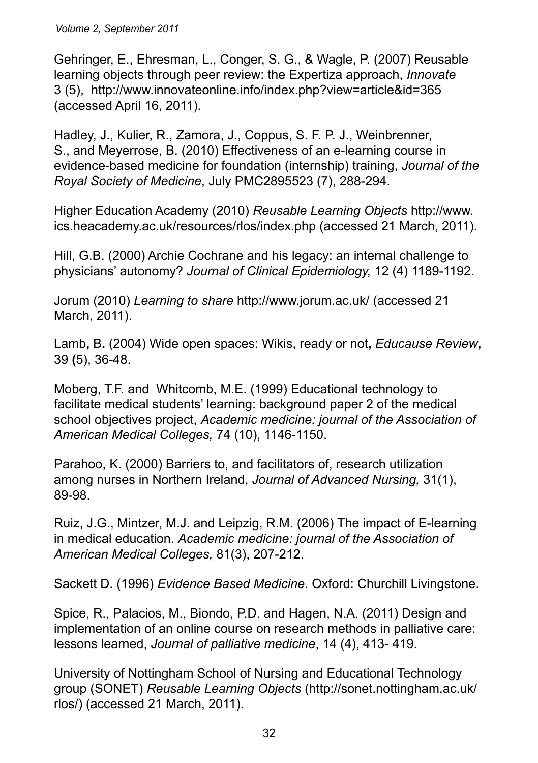Gehringer, E., Ehresman, L., Conger, S. G., & Wagle, P. (2007) Reusable learning objects through peer review: the Expertiza approach, *Innovate* 3 (5), http://www.innovateonline.info/index.php?view=article&id=365 (accessed April 16, 2011).

Hadley, J., Kulier, R., Zamora, J., Coppus, S. F. P. J., Weinbrenner, S., and Meyerrose, B. (2010) Effectiveness of an e-learning course in evidence-based medicine for foundation (internship) training, *Journal of the Royal Society of Medicine*, July PMC2895523 (7), 288-294.

Higher Education Academy (2010) *Reusable Learning Objects* http://www. ics.heacademy.ac.uk/resources/rlos/index.php (accessed 21 March, 2011).

Hill, G.B. (2000) Archie Cochrane and his legacy: an internal challenge to physicians' autonomy? *Journal of Clinical Epidemiology,* 12 (4) 1189-1192.

Jorum (2010) *Learning to share* http://www.jorum.ac.uk/ (accessed 21 March, 2011).

Lamb**,** B**.** (2004) Wide open spaces: Wikis, ready or not**,** *Educause Review***,**  39 **(**5), 36-48.

Moberg, T.F. and Whitcomb, M.E. (1999) Educational technology to facilitate medical students' learning: background paper 2 of the medical school objectives project, *Academic medicine: journal of the Association of American Medical Colleges,* 74 (10), 1146-1150.

Parahoo, K. (2000) Barriers to, and facilitators of, research utilization among nurses in Northern Ireland, *Journal of Advanced Nursing,* 31(1), 89-98.

Ruiz, J.G., Mintzer, M.J. and Leipzig, R.M. (2006) The impact of E-learning in medical education. *Academic medicine: journal of the Association of American Medical Colleges,* 81(3), 207-212.

Sackett D. (1996) *Evidence Based Medicine*. Oxford: Churchill Livingstone.

Spice, R., Palacios, M., Biondo, P.D. and Hagen, N.A. (2011) Design and implementation of an online course on research methods in palliative care: lessons learned, *Journal of palliative medicine*, 14 (4), 413- 419.

University of Nottingham School of Nursing and Educational Technology group (SONET) *Reusable Learning Objects* (http://sonet.nottingham.ac.uk/ rlos/) (accessed 21 March, 2011).